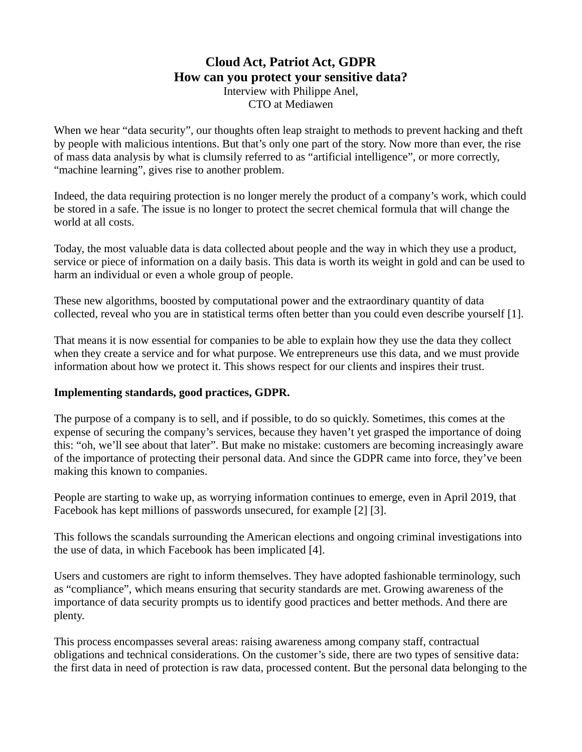## **Cloud Act, Patriot Act, GDPR How can you protect your sensitive data?** Interview with Philippe Anel, CTO at Mediawen

When we hear "data security", our thoughts often leap straight to methods to prevent hacking and theft by people with malicious intentions. But that's only one part of the story. Now more than ever, the rise of mass data analysis by what is clumsily referred to as "artificial intelligence", or more correctly, "machine learning", gives rise to another problem.

Indeed, the data requiring protection is no longer merely the product of a company's work, which could be stored in a safe. The issue is no longer to protect the secret chemical formula that will change the world at all costs.

Today, the most valuable data is data collected about people and the way in which they use a product, service or piece of information on a daily basis. This data is worth its weight in gold and can be used to harm an individual or even a whole group of people.

These new algorithms, boosted by computational power and the extraordinary quantity of data collected, reveal who you are in statistical terms often better than you could even describe yourself [1].

That means it is now essential for companies to be able to explain how they use the data they collect when they create a service and for what purpose. We entrepreneurs use this data, and we must provide information about how we protect it. This shows respect for our clients and inspires their trust.

#### **Implementing standards, good practices, GDPR.**

The purpose of a company is to sell, and if possible, to do so quickly. Sometimes, this comes at the expense of securing the company's services, because they haven't yet grasped the importance of doing this: "oh, we'll see about that later". But make no mistake: customers are becoming increasingly aware of the importance of protecting their personal data. And since the GDPR came into force, they've been making this known to companies.

People are starting to wake up, as worrying information continues to emerge, even in April 2019, that Facebook has kept millions of passwords unsecured, for example [2] [3].

This follows the scandals surrounding the American elections and ongoing criminal investigations into the use of data, in which Facebook has been implicated [4].

Users and customers are right to inform themselves. They have adopted fashionable terminology, such as "compliance", which means ensuring that security standards are met. Growing awareness of the importance of data security prompts us to identify good practices and better methods. And there are plenty.

This process encompasses several areas: raising awareness among company staff, contractual obligations and technical considerations. On the customer's side, there are two types of sensitive data: the first data in need of protection is raw data, processed content. But the personal data belonging to the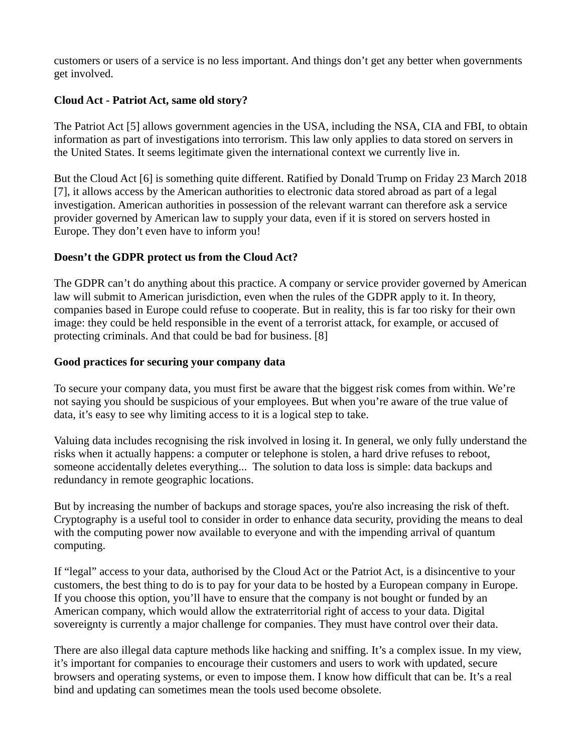customers or users of a service is no less important. And things don't get any better when governments get involved.

## **Cloud Act - Patriot Act, same old story?**

The Patriot Act [5] allows government agencies in the USA, including the NSA, CIA and FBI, to obtain information as part of investigations into terrorism. This law only applies to data stored on servers in the United States. It seems legitimate given the international context we currently live in.

But the Cloud Act [6] is something quite different. Ratified by Donald Trump on Friday 23 March 2018 [7], it allows access by the American authorities to electronic data stored abroad as part of a legal investigation. American authorities in possession of the relevant warrant can therefore ask a service provider governed by American law to supply your data, even if it is stored on servers hosted in Europe. They don't even have to inform you!

# **Doesn't the GDPR protect us from the Cloud Act?**

The GDPR can't do anything about this practice. A company or service provider governed by American law will submit to American jurisdiction, even when the rules of the GDPR apply to it. In theory, companies based in Europe could refuse to cooperate. But in reality, this is far too risky for their own image: they could be held responsible in the event of a terrorist attack, for example, or accused of protecting criminals. And that could be bad for business. [8]

## **Good practices for securing your company data**

To secure your company data, you must first be aware that the biggest risk comes from within. We're not saying you should be suspicious of your employees. But when you're aware of the true value of data, it's easy to see why limiting access to it is a logical step to take.

Valuing data includes recognising the risk involved in losing it. In general, we only fully understand the risks when it actually happens: a computer or telephone is stolen, a hard drive refuses to reboot, someone accidentally deletes everything... The solution to data loss is simple: data backups and redundancy in remote geographic locations.

But by increasing the number of backups and storage spaces, you're also increasing the risk of theft. Cryptography is a useful tool to consider in order to enhance data security, providing the means to deal with the computing power now available to everyone and with the impending arrival of quantum computing.

If "legal" access to your data, authorised by the Cloud Act or the Patriot Act, is a disincentive to your customers, the best thing to do is to pay for your data to be hosted by a European company in Europe. If you choose this option, you'll have to ensure that the company is not bought or funded by an American company, which would allow the extraterritorial right of access to your data. Digital sovereignty is currently a major challenge for companies. They must have control over their data.

There are also illegal data capture methods like hacking and sniffing. It's a complex issue. In my view, it's important for companies to encourage their customers and users to work with updated, secure browsers and operating systems, or even to impose them. I know how difficult that can be. It's a real bind and updating can sometimes mean the tools used become obsolete.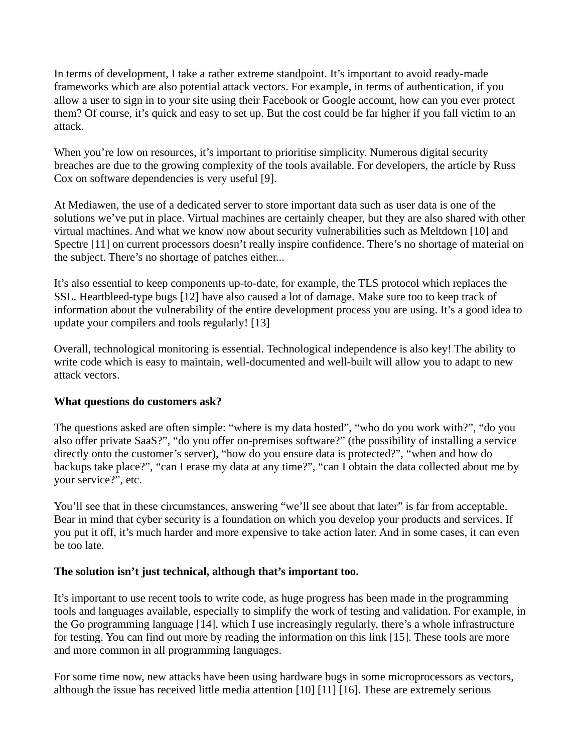In terms of development, I take a rather extreme standpoint. It's important to avoid ready-made frameworks which are also potential attack vectors. For example, in terms of authentication, if you allow a user to sign in to your site using their Facebook or Google account, how can you ever protect them? Of course, it's quick and easy to set up. But the cost could be far higher if you fall victim to an attack.

When you're low on resources, it's important to prioritise simplicity. Numerous digital security breaches are due to the growing complexity of the tools available. For developers, the article by Russ Cox on software dependencies is very useful [9].

At Mediawen, the use of a dedicated server to store important data such as user data is one of the solutions we've put in place. Virtual machines are certainly cheaper, but they are also shared with other virtual machines. And what we know now about security vulnerabilities such as Meltdown [10] and Spectre [11] on current processors doesn't really inspire confidence. There's no shortage of material on the subject. There's no shortage of patches either...

It's also essential to keep components up-to-date, for example, the TLS protocol which replaces the SSL. Heartbleed-type bugs [12] have also caused a lot of damage. Make sure too to keep track of information about the vulnerability of the entire development process you are using. It's a good idea to update your compilers and tools regularly! [13]

Overall, technological monitoring is essential. Technological independence is also key! The ability to write code which is easy to maintain, well-documented and well-built will allow you to adapt to new attack vectors.

#### **What questions do customers ask?**

The questions asked are often simple: "where is my data hosted", "who do you work with?", "do you also offer private SaaS?", "do you offer on-premises software?" (the possibility of installing a service directly onto the customer's server), "how do you ensure data is protected?", "when and how do backups take place?", "can I erase my data at any time?", "can I obtain the data collected about me by your service?", etc.

You'll see that in these circumstances, answering "we'll see about that later" is far from acceptable. Bear in mind that cyber security is a foundation on which you develop your products and services. If you put it off, it's much harder and more expensive to take action later. And in some cases, it can even be too late.

#### **The solution isn't just technical, although that's important too.**

It's important to use recent tools to write code, as huge progress has been made in the programming tools and languages available, especially to simplify the work of testing and validation. For example, in the Go programming language [14], which I use increasingly regularly, there's a whole infrastructure for testing. You can find out more by reading the information on this link [15]. These tools are more and more common in all programming languages.

For some time now, new attacks have been using hardware bugs in some microprocessors as vectors, although the issue has received little media attention [10] [11] [16]. These are extremely serious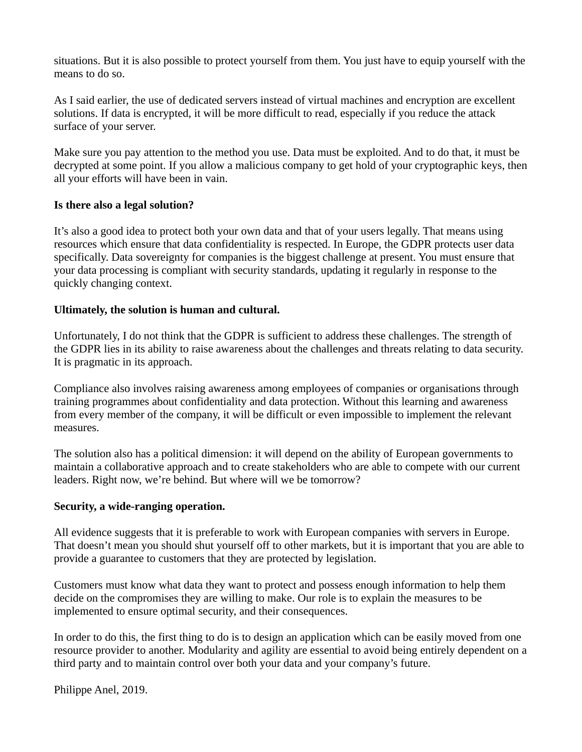situations. But it is also possible to protect yourself from them. You just have to equip yourself with the means to do so.

As I said earlier, the use of dedicated servers instead of virtual machines and encryption are excellent solutions. If data is encrypted, it will be more difficult to read, especially if you reduce the attack surface of your server.

Make sure you pay attention to the method you use. Data must be exploited. And to do that, it must be decrypted at some point. If you allow a malicious company to get hold of your cryptographic keys, then all your efforts will have been in vain.

#### **Is there also a legal solution?**

It's also a good idea to protect both your own data and that of your users legally. That means using resources which ensure that data confidentiality is respected. In Europe, the GDPR protects user data specifically. Data sovereignty for companies is the biggest challenge at present. You must ensure that your data processing is compliant with security standards, updating it regularly in response to the quickly changing context.

## **Ultimately, the solution is human and cultural.**

Unfortunately, I do not think that the GDPR is sufficient to address these challenges. The strength of the GDPR lies in its ability to raise awareness about the challenges and threats relating to data security. It is pragmatic in its approach.

Compliance also involves raising awareness among employees of companies or organisations through training programmes about confidentiality and data protection. Without this learning and awareness from every member of the company, it will be difficult or even impossible to implement the relevant measures.

The solution also has a political dimension: it will depend on the ability of European governments to maintain a collaborative approach and to create stakeholders who are able to compete with our current leaders. Right now, we're behind. But where will we be tomorrow?

#### **Security, a wide-ranging operation.**

All evidence suggests that it is preferable to work with European companies with servers in Europe. That doesn't mean you should shut yourself off to other markets, but it is important that you are able to provide a guarantee to customers that they are protected by legislation.

Customers must know what data they want to protect and possess enough information to help them decide on the compromises they are willing to make. Our role is to explain the measures to be implemented to ensure optimal security, and their consequences.

In order to do this, the first thing to do is to design an application which can be easily moved from one resource provider to another. Modularity and agility are essential to avoid being entirely dependent on a third party and to maintain control over both your data and your company's future.

Philippe Anel, 2019.